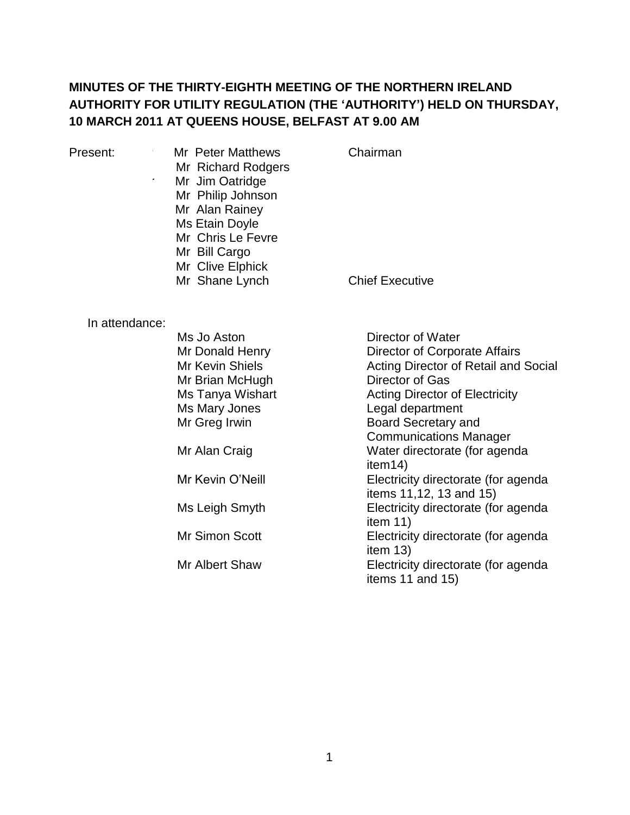# **MINUTES OF THE THIRTY-EIGHTH MEETING OF THE NORTHERN IRELAND AUTHORITY FOR UTILITY REGULATION (THE 'AUTHORITY') HELD ON THURSDAY, 10 MARCH 2011 AT QUEENS HOUSE, BELFAST AT 9.00 AM**

Present: Mr Peter Matthews Mr Richard Rodgers<br>Mr Jim Oatridge Mr Mr Jim Oatridge Mr Philip Johnson Mr Alan Rainey Ms Etain Doyle Mr Chris Le Fevre Mr Bill Cargo Mr Clive Elphick Mr Shane Lynch

Chairman

Chief Executive

In attendance:

| Ms Jo Aston      | Director of Water                     |
|------------------|---------------------------------------|
| Mr Donald Henry  | Director of Corporate Affairs         |
| Mr Kevin Shiels  | Acting Director of Retail and Social  |
| Mr Brian McHugh  | Director of Gas                       |
| Ms Tanya Wishart | <b>Acting Director of Electricity</b> |
| Ms Mary Jones    | Legal department                      |
| Mr Greg Irwin    | <b>Board Secretary and</b>            |
|                  | <b>Communications Manager</b>         |
| Mr Alan Craig    | Water directorate (for agenda         |
|                  | item14)                               |
| Mr Kevin O'Neill | Electricity directorate (for agenda   |
|                  | items 11,12, 13 and 15)               |
| Ms Leigh Smyth   | Electricity directorate (for agenda   |
|                  | item $11)$                            |
| Mr Simon Scott   | Electricity directorate (for agenda   |
|                  | item $13$ )                           |
| Mr Albert Shaw   | Electricity directorate (for agenda   |
|                  | items 11 and 15)                      |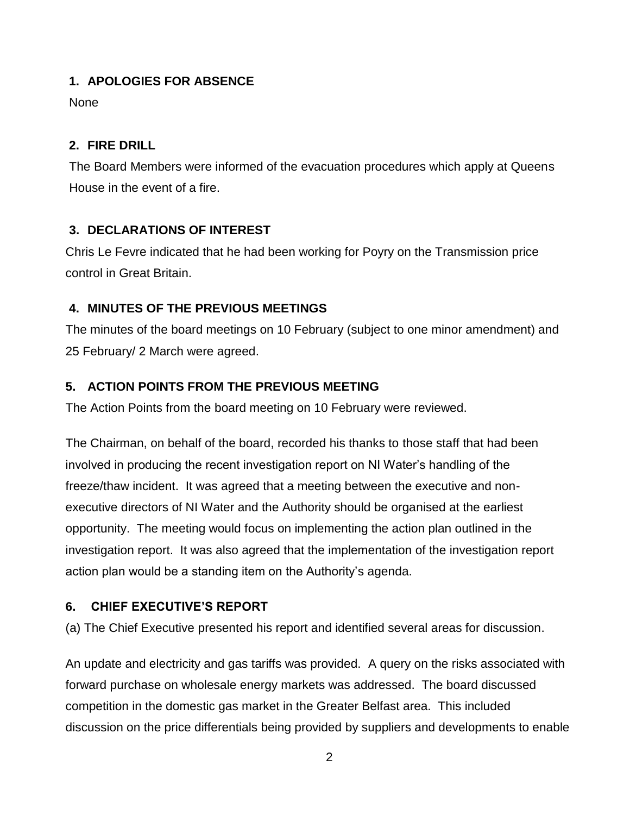#### **1. APOLOGIES FOR ABSENCE**

None

### **2. FIRE DRILL**

The Board Members were informed of the evacuation procedures which apply at Queens House in the event of a fire.

# **3. DECLARATIONS OF INTEREST**

Chris Le Fevre indicated that he had been working for Poyry on the Transmission price control in Great Britain.

# **4. MINUTES OF THE PREVIOUS MEETINGS**

The minutes of the board meetings on 10 February (subject to one minor amendment) and 25 February/ 2 March were agreed.

# **5. ACTION POINTS FROM THE PREVIOUS MEETING**

The Action Points from the board meeting on 10 February were reviewed.

The Chairman, on behalf of the board, recorded his thanks to those staff that had been involved in producing the recent investigation report on NI Water's handling of the freeze/thaw incident. It was agreed that a meeting between the executive and nonexecutive directors of NI Water and the Authority should be organised at the earliest opportunity. The meeting would focus on implementing the action plan outlined in the investigation report. It was also agreed that the implementation of the investigation report action plan would be a standing item on the Authority's agenda.

# **6. CHIEF EXECUTIVE'S REPORT**

(a) The Chief Executive presented his report and identified several areas for discussion.

An update and electricity and gas tariffs was provided. A query on the risks associated with forward purchase on wholesale energy markets was addressed. The board discussed competition in the domestic gas market in the Greater Belfast area. This included discussion on the price differentials being provided by suppliers and developments to enable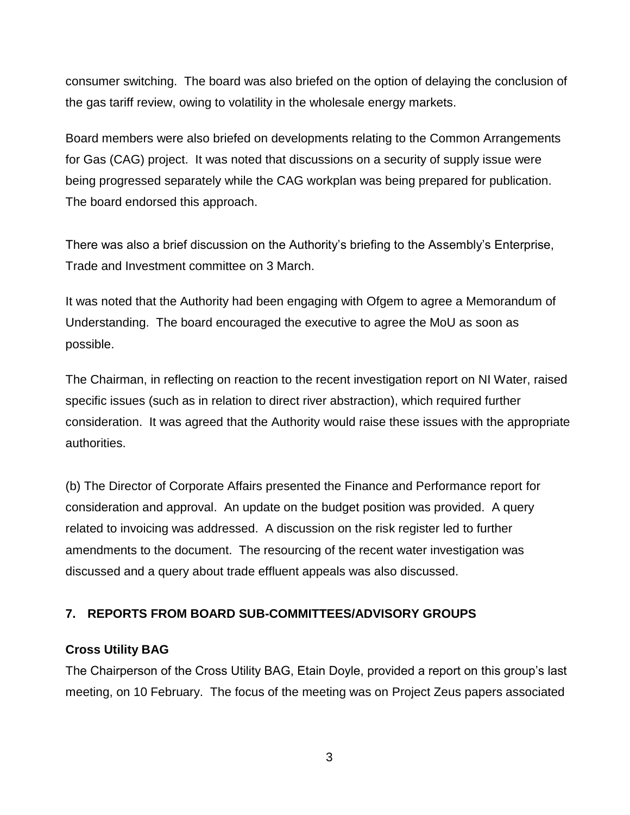consumer switching. The board was also briefed on the option of delaying the conclusion of the gas tariff review, owing to volatility in the wholesale energy markets.

Board members were also briefed on developments relating to the Common Arrangements for Gas (CAG) project. It was noted that discussions on a security of supply issue were being progressed separately while the CAG workplan was being prepared for publication. The board endorsed this approach.

There was also a brief discussion on the Authority's briefing to the Assembly's Enterprise, Trade and Investment committee on 3 March.

It was noted that the Authority had been engaging with Ofgem to agree a Memorandum of Understanding. The board encouraged the executive to agree the MoU as soon as possible.

The Chairman, in reflecting on reaction to the recent investigation report on NI Water, raised specific issues (such as in relation to direct river abstraction), which required further consideration. It was agreed that the Authority would raise these issues with the appropriate authorities.

(b) The Director of Corporate Affairs presented the Finance and Performance report for consideration and approval. An update on the budget position was provided. A query related to invoicing was addressed. A discussion on the risk register led to further amendments to the document. The resourcing of the recent water investigation was discussed and a query about trade effluent appeals was also discussed.

#### **7. REPORTS FROM BOARD SUB-COMMITTEES/ADVISORY GROUPS**

#### **Cross Utility BAG**

The Chairperson of the Cross Utility BAG, Etain Doyle, provided a report on this group's last meeting, on 10 February. The focus of the meeting was on Project Zeus papers associated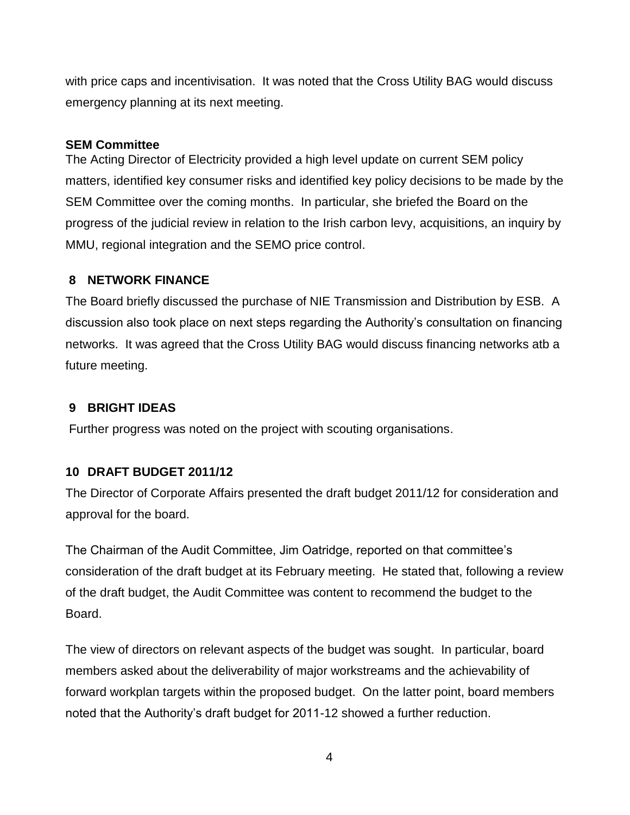with price caps and incentivisation. It was noted that the Cross Utility BAG would discuss emergency planning at its next meeting.

#### **SEM Committee**

The Acting Director of Electricity provided a high level update on current SEM policy matters, identified key consumer risks and identified key policy decisions to be made by the SEM Committee over the coming months. In particular, she briefed the Board on the progress of the judicial review in relation to the Irish carbon levy, acquisitions, an inquiry by MMU, regional integration and the SEMO price control.

#### **8 NETWORK FINANCE**

The Board briefly discussed the purchase of NIE Transmission and Distribution by ESB. A discussion also took place on next steps regarding the Authority's consultation on financing networks. It was agreed that the Cross Utility BAG would discuss financing networks atb a future meeting.

### **9 BRIGHT IDEAS**

Further progress was noted on the project with scouting organisations.

#### **10 DRAFT BUDGET 2011/12**

The Director of Corporate Affairs presented the draft budget 2011/12 for consideration and approval for the board.

The Chairman of the Audit Committee, Jim Oatridge, reported on that committee's consideration of the draft budget at its February meeting. He stated that, following a review of the draft budget, the Audit Committee was content to recommend the budget to the Board.

The view of directors on relevant aspects of the budget was sought. In particular, board members asked about the deliverability of major workstreams and the achievability of forward workplan targets within the proposed budget. On the latter point, board members noted that the Authority's draft budget for 2011-12 showed a further reduction.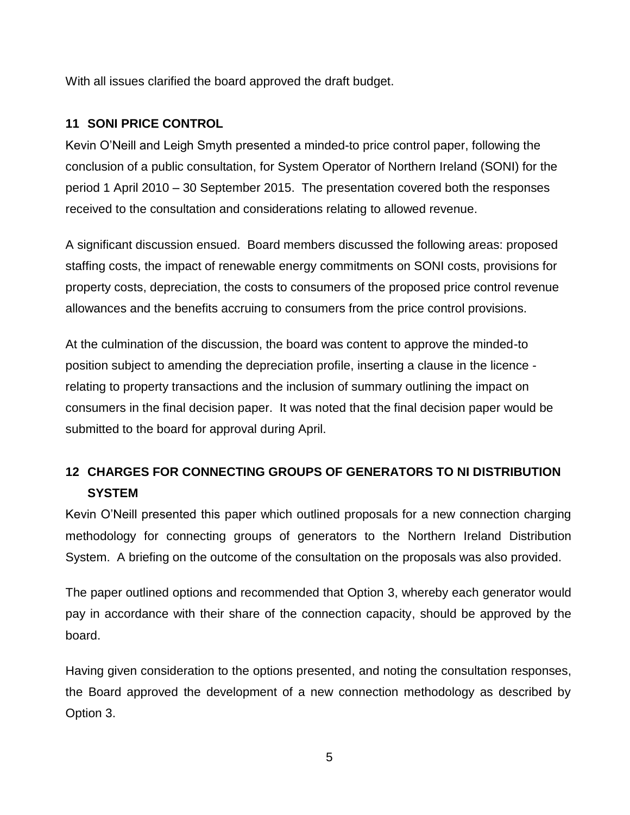With all issues clarified the board approved the draft budget.

### **11 SONI PRICE CONTROL**

Kevin O'Neill and Leigh Smyth presented a minded-to price control paper, following the conclusion of a public consultation, for System Operator of Northern Ireland (SONI) for the period 1 April 2010 – 30 September 2015. The presentation covered both the responses received to the consultation and considerations relating to allowed revenue.

A significant discussion ensued. Board members discussed the following areas: proposed staffing costs, the impact of renewable energy commitments on SONI costs, provisions for property costs, depreciation, the costs to consumers of the proposed price control revenue allowances and the benefits accruing to consumers from the price control provisions.

At the culmination of the discussion, the board was content to approve the minded-to position subject to amending the depreciation profile, inserting a clause in the licence relating to property transactions and the inclusion of summary outlining the impact on consumers in the final decision paper. It was noted that the final decision paper would be submitted to the board for approval during April.

# **12 CHARGES FOR CONNECTING GROUPS OF GENERATORS TO NI DISTRIBUTION SYSTEM**

Kevin O'Neill presented this paper which outlined proposals for a new connection charging methodology for connecting groups of generators to the Northern Ireland Distribution System. A briefing on the outcome of the consultation on the proposals was also provided.

The paper outlined options and recommended that Option 3, whereby each generator would pay in accordance with their share of the connection capacity, should be approved by the board.

Having given consideration to the options presented, and noting the consultation responses, the Board approved the development of a new connection methodology as described by Option 3.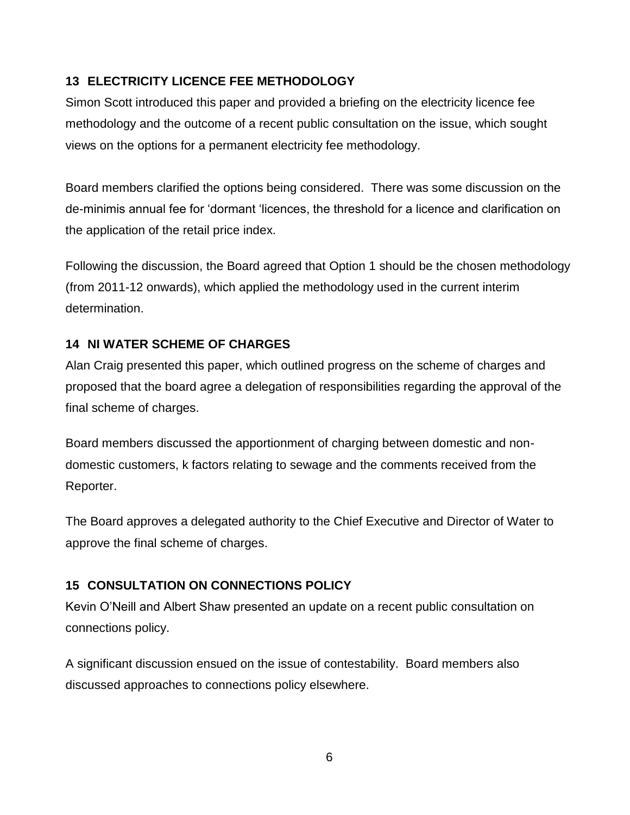# **13 ELECTRICITY LICENCE FEE METHODOLOGY**

Simon Scott introduced this paper and provided a briefing on the electricity licence fee methodology and the outcome of a recent public consultation on the issue, which sought views on the options for a permanent electricity fee methodology.

Board members clarified the options being considered. There was some discussion on the de-minimis annual fee for 'dormant 'licences, the threshold for a licence and clarification on the application of the retail price index.

Following the discussion, the Board agreed that Option 1 should be the chosen methodology (from 2011-12 onwards), which applied the methodology used in the current interim determination.

# **14 NI WATER SCHEME OF CHARGES**

Alan Craig presented this paper, which outlined progress on the scheme of charges and proposed that the board agree a delegation of responsibilities regarding the approval of the final scheme of charges.

Board members discussed the apportionment of charging between domestic and nondomestic customers, k factors relating to sewage and the comments received from the Reporter.

The Board approves a delegated authority to the Chief Executive and Director of Water to approve the final scheme of charges.

# **15 CONSULTATION ON CONNECTIONS POLICY**

Kevin O'Neill and Albert Shaw presented an update on a recent public consultation on connections policy.

A significant discussion ensued on the issue of contestability. Board members also discussed approaches to connections policy elsewhere.